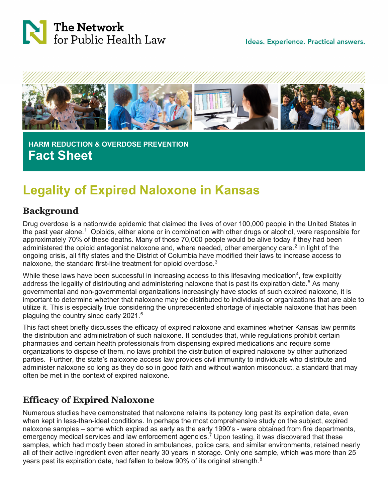



 **HARM REDUCTION & OVERDOSE PREVENTION Fact Sheet**

# **Legality of Expired Naloxone in Kansas**

#### **Background**

Drug overdose is a nationwide epidemic that claimed the lives of over 100,000 people in the United States in the past year alone.<sup>[1](#page-2-0)</sup> Opioids, either alone or in combination with other drugs or alcohol, were responsible for approximately 70% of these deaths. Many of those 70,000 people would be alive today if they had been administered the opioid antagonist naloxone and, where needed, other emergency care.<sup>[2](#page-2-1)</sup> In light of the ongoing crisis, all fifty states and the District of Columbia have modified their laws to increase access to naloxone, the standard first-line treatment for opioid overdose. $3$ 

While these laws have been successful in increasing access to this lifesaving medication $^4$  $^4$ , few explicitly address the legality of distributing and administering naloxone that is past its expiration date.<sup>[5](#page-2-4)</sup> As many governmental and non-governmental organizations increasingly have stocks of such expired naloxone, it is important to determine whether that naloxone may be distributed to individuals or organizations that are able to utilize it. This is especially true considering the unprecedented shortage of injectable naloxone that has been plaguing the country since early 2021.[6](#page-3-0)

This fact sheet briefly discusses the efficacy of expired naloxone and examines whether Kansas law permits the distribution and administration of such naloxone. It concludes that, while regulations prohibit certain pharmacies and certain health professionals from dispensing expired medications and require some organizations to dispose of them, no laws prohibit the distribution of expired naloxone by other authorized parties. Further, the state's naloxone access law provides civil immunity to individuals who distribute and administer naloxone so long as they do so in good faith and without wanton misconduct, a standard that may often be met in the context of expired naloxone.

## **Efficacy of Expired Naloxone**

Numerous studies have demonstrated that naloxone retains its potency long past its expiration date, even when kept in less-than-ideal conditions. In perhaps the most comprehensive study on the subject, expired naloxone samples – some which expired as early as the early 1990's - were obtained from fire departments, emergency medical services and law enforcement agencies.<sup>[7](#page-3-1)</sup> Upon testing, it was discovered that these samples, which had mostly been stored in ambulances, police cars, and similar environments, retained nearly all of their active ingredient even after nearly 30 years in storage. Only one sample, which was more than 25 years past its expiration date, had fallen to below 90% of its original strength.<sup>[8](#page-3-2)</sup>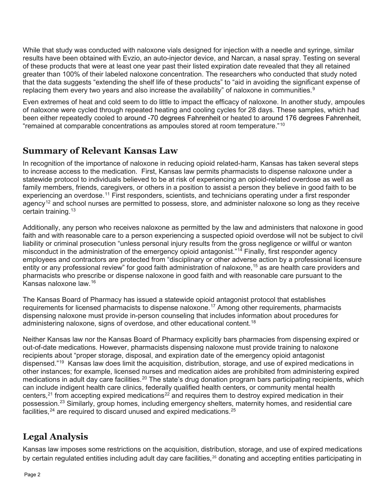While that study was conducted with naloxone vials designed for injection with a needle and syringe, similar results have been obtained with Evzio, an auto-injector device, and Narcan, a nasal spray. Testing on several of these products that were at least one year past their listed expiration date revealed that they all retained greater than 100% of their labeled naloxone concentration. The researchers who conducted that study noted that the data suggests "extending the shelf life of these products" to "aid in avoiding the significant expense of replacing them every two years and also increase the availability" of naloxone in communities. $^9$  $^9$ 

Even extremes of heat and cold seem to do little to impact the efficacy of naloxone. In another study, ampoules of naloxone were cycled through repeated heating and cooling cycles for 28 days. These samples, which had been either repeatedly cooled to around -70 degrees Fahrenheit or heated to around 176 degrees Fahrenheit, "remained at comparable concentrations as ampoules stored at room temperature." $^{10}$  $^{10}$  $^{10}$ 

### **Summary of Relevant Kansas Law**

In recognition of the importance of naloxone in reducing opioid related-harm, Kansas has taken several steps to increase access to the medication. First, Kansas law permits pharmacists to dispense naloxone under a statewide protocol to individuals believed to be at risk of experiencing an opioid-related overdose as well as family members, friends, caregivers, or others in a position to assist a person they believe in good faith to be experiencing an overdose.<sup>[11](#page-3-5)</sup> First responders, scientists, and technicians operating under a first responder agency<sup>[12](#page-3-6)</sup> and school nurses are permitted to possess, store, and administer naloxone so long as they receive certain training. [13](#page-3-7)

Additionally, any person who receives naloxone as permitted by the law and administers that naloxone in good faith and with reasonable care to a person experiencing a suspected opioid overdose will not be subject to civil liability or criminal prosecution "unless personal injury results from the gross negligence or willful or wanton misconduct in the administration of the emergency opioid antagonist."<sup>[14](#page-3-8)</sup> Finally, first responder agency employees and contractors are protected from "disciplinary or other adverse action by a professional licensure entity or any professional review" for good faith administration of naloxone,<sup>[15](#page-3-9)</sup> as are health care providers and pharmacists who prescribe or dispense naloxone in good faith and with reasonable care pursuant to the Kansas naloxone law.[16](#page-3-10)

The Kansas Board of Pharmacy has issued a statewide opioid antagonist protocol that establishes requirements for licensed pharmacists to dispense naloxone.<sup>[17](#page-3-11)</sup> Among other requirements, pharmacists dispensing naloxone must provide in-person counseling that includes information about procedures for administering naloxone, signs of overdose, and other educational content.<sup>[18](#page-3-12)</sup>

Neither Kansas law nor the Kansas Board of Pharmacy explicitly bars pharmacies from dispensing expired or out-of-date medications. However, pharmacists dispensing naloxone must provide training to naloxone recipients about "proper storage, disposal, and expiration date of the emergency opioid antagonist dispensed."[19](#page-3-13) Kansas law does limit the acquisition, distribution, storage, and use of expired medications in other instances; for example, licensed nurses and medication aides are prohibited from administering expired medications in adult day care facilities.<sup>[20](#page-3-14)</sup> The state's drug donation program bars participating recipients, which can include indigent health care clinics, federally qualified health centers, or community mental health centers,<sup>[21](#page-3-15)</sup> from accepting expired medications<sup>[22](#page-3-16)</sup> and requires them to destroy expired medication in their possession.[23](#page-3-17) Similarly, group homes, including emergency shelters, maternity homes, and residential care facilities,  $24$  are required to discard unused and expired medications.  $25$ 

# **Legal Analysis**

Kansas law imposes some restrictions on the acquisition, distribution, storage, and use of expired medications by certain regulated entities including adult day care facilities,<sup>[26](#page-3-20)</sup> donating and accepting entities participating in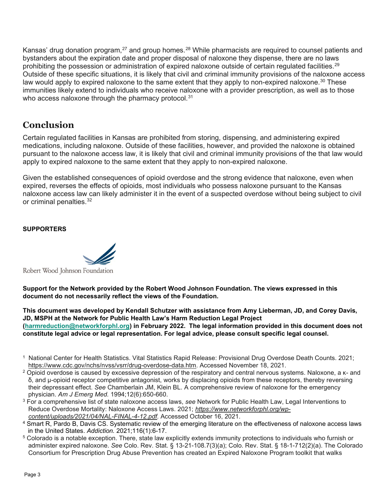Kansas' drug donation program,<sup>[27](#page-3-21)</sup> and group homes.<sup>[28](#page-3-22)</sup> While pharmacists are required to counsel patients and bystanders about the expiration date and proper disposal of naloxone they dispense, there are no laws prohibiting the possession or administration of expired naloxone outside of certain regulated facilities.<sup>[29](#page-3-23)</sup> Outside of these specific situations, it is likely that civil and criminal immunity provisions of the naloxone access law would apply to expired naloxone to the same extent that they apply to non-expired naloxone. $^{\rm 30}$  $^{\rm 30}$  $^{\rm 30}$  These immunities likely extend to individuals who receive naloxone with a provider prescription, as well as to those who access naloxone through the pharmacy protocol. $^{\rm 31}$  $^{\rm 31}$  $^{\rm 31}$ 

### **Conclusion**

Certain regulated facilities in Kansas are prohibited from storing, dispensing, and administering expired medications, including naloxone. Outside of these facilities, however, and provided the naloxone is obtained pursuant to the naloxone access law, it is likely that civil and criminal immunity provisions of the that law would apply to expired naloxone to the same extent that they apply to non-expired naloxone.

Given the established consequences of opioid overdose and the strong evidence that naloxone, even when expired, reverses the effects of opioids, most individuals who possess naloxone pursuant to the Kansas naloxone access law can likely administer it in the event of a suspected overdose without being subject to civil or criminal penalties.<sup>[32](#page-3-26)</sup>

#### **SUPPORTERS**



**Support for the Network provided by the Robert Wood Johnson Foundation. The views expressed in this document do not necessarily reflect the views of the Foundation.**

**This document was developed by Kendall Schutzer with assistance from Amy Lieberman, JD, and Corey Davis, JD, MSPH at the Network for Public Health Law's Harm Reduction Legal Project [\(harmreduction@networkforphl.org\)](mailto:harmreduction@networkforphl.org) in February 2022. The legal information provided in this document does not constitute legal advice or legal representation. For legal advice, please consult specific legal counsel.**

- <span id="page-2-0"></span><sup>1</sup> National Center for Health Statistics. Vital Statistics Rapid Release: Provisional Drug Overdose Death Counts. 2021; [https://www.cdc.gov/nchs/nvss/vsrr/drug-overdose-data.htm.](https://www.cdc.gov/nchs/nvss/vsrr/drug-overdose-data.htm) Accessed November 18, 2021.
- <span id="page-2-1"></span><sup>2</sup> Opioid overdose is caused by excessive depression of the respiratory and central nervous systems. Naloxone, a κ- and δ, and μ-opioid receptor competitive antagonist, works by displacing opioids from these receptors, thereby reversing their depressant effect. *See* Chamberlain JM, Klein BL. A comprehensive review of naloxone for the emergency physician. *Am J Emerg Med.* 1994;12(6):650-660.
- <span id="page-2-2"></span><sup>3</sup> For a comprehensive list of state naloxone access laws, *see* Network for Public Health Law, Legal Interventions to Reduce Overdose Mortality: Naloxone Access Laws. 2021; *[https://www.networkforphl.org/wp](https://www.networkforphl.org/wp-content/uploads/2021/04/NAL-FINAL-4-12.pdf)[content/uploads/2021/04/NAL-FINAL-4-12.pdf.](https://www.networkforphl.org/wp-content/uploads/2021/04/NAL-FINAL-4-12.pdf)* Accessed October 16, 2021.
- <span id="page-2-3"></span><sup>4</sup> Smart R, Pardo B, Davis CS. Systematic review of the emerging literature on the effectiveness of naloxone access laws in the United States. *Addiction.* 2021;116(1):6-17.
- <span id="page-2-4"></span><sup>5</sup> Colorado is a notable exception. There, state law explicitly extends immunity protections to individuals who furnish or administer expired naloxone. *See* Colo. Rev. Stat. § 13-21-108.7(3)(a); Colo. Rev. Stat. § 18-1-712(2)(a). The Colorado Consortium for Prescription Drug Abuse Prevention has created an Expired Naloxone Program toolkit that walks